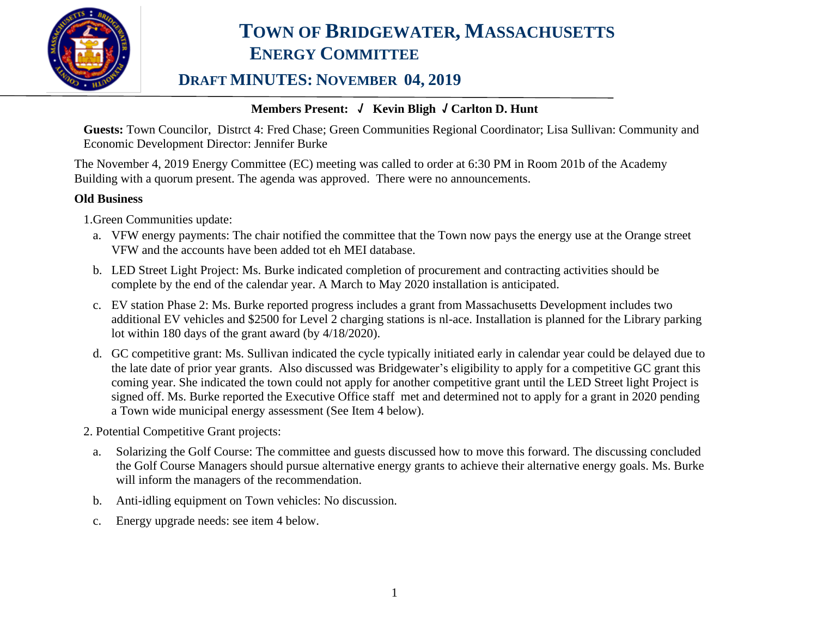

## **TOWN OF BRIDGEWATER, MASSACHUSETTS ENERGY COMMITTEE**

### **DRAFT MINUTES: NOVEMBER 04, 2019**

#### **Members Present: √ Kevin Bligh √ Carlton D. Hunt**

**Guests:** Town Councilor, Distrct 4: Fred Chase; Green Communities Regional Coordinator; Lisa Sullivan: Community and Economic Development Director: Jennifer Burke

The November 4, 2019 Energy Committee (EC) meeting was called to order at 6:30 PM in Room 201b of the Academy Building with a quorum present. The agenda was approved. There were no announcements.

#### **Old Business**

1.Green Communities update:

- a. VFW energy payments: The chair notified the committee that the Town now pays the energy use at the Orange street VFW and the accounts have been added tot eh MEI database.
- b. LED Street Light Project: Ms. Burke indicated completion of procurement and contracting activities should be complete by the end of the calendar year. A March to May 2020 installation is anticipated.
- c. EV station Phase 2: Ms. Burke reported progress includes a grant from Massachusetts Development includes two additional EV vehicles and \$2500 for Level 2 charging stations is nl-ace. Installation is planned for the Library parking lot within 180 days of the grant award (by 4/18/2020).
- d. GC competitive grant: Ms. Sullivan indicated the cycle typically initiated early in calendar year could be delayed due to the late date of prior year grants. Also discussed was Bridgewater's eligibility to apply for a competitive GC grant this coming year. She indicated the town could not apply for another competitive grant until the LED Street light Project is signed off. Ms. Burke reported the Executive Office staff met and determined not to apply for a grant in 2020 pending a Town wide municipal energy assessment (See Item 4 below).

2. Potential Competitive Grant projects:

- a. Solarizing the Golf Course: The committee and guests discussed how to move this forward. The discussing concluded the Golf Course Managers should pursue alternative energy grants to achieve their alternative energy goals. Ms. Burke will inform the managers of the recommendation.
- b. Anti-idling equipment on Town vehicles: No discussion.
- c. Energy upgrade needs: see item 4 below.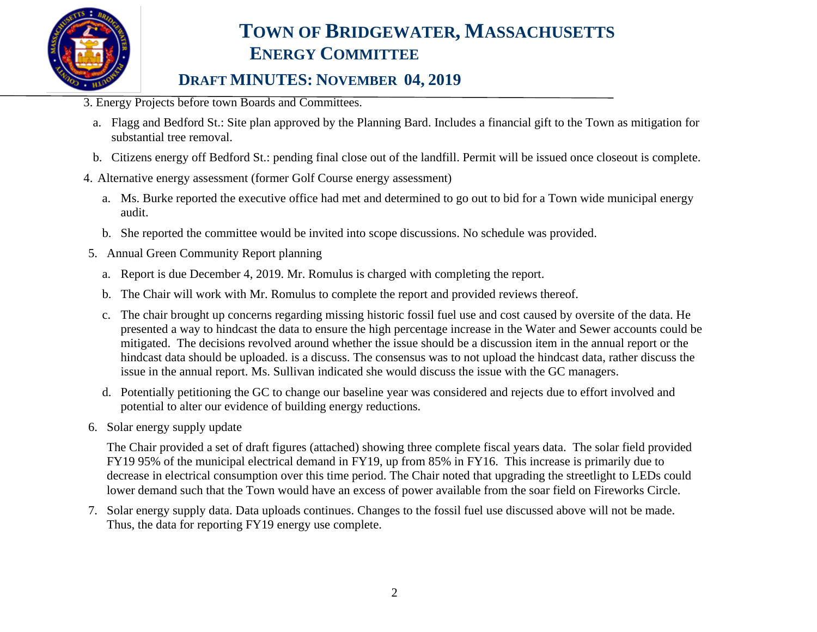

# **TOWN OF BRIDGEWATER, MASSACHUSETTS ENERGY COMMITTEE**

### **DRAFT MINUTES: NOVEMBER 04, 2019**

- 3. Energy Projects before town Boards and Committees.
	- a. Flagg and Bedford St.: Site plan approved by the Planning Bard. Includes a financial gift to the Town as mitigation for substantial tree removal.
	- b. Citizens energy off Bedford St.: pending final close out of the landfill. Permit will be issued once closeout is complete.
- 4. Alternative energy assessment (former Golf Course energy assessment)
	- a. Ms. Burke reported the executive office had met and determined to go out to bid for a Town wide municipal energy audit.
	- b. She reported the committee would be invited into scope discussions. No schedule was provided.
- 5. Annual Green Community Report planning
	- a. Report is due December 4, 2019. Mr. Romulus is charged with completing the report.
	- b. The Chair will work with Mr. Romulus to complete the report and provided reviews thereof.
	- c. The chair brought up concerns regarding missing historic fossil fuel use and cost caused by oversite of the data. He presented a way to hindcast the data to ensure the high percentage increase in the Water and Sewer accounts could be mitigated. The decisions revolved around whether the issue should be a discussion item in the annual report or the hindcast data should be uploaded. is a discuss. The consensus was to not upload the hindcast data, rather discuss the issue in the annual report. Ms. Sullivan indicated she would discuss the issue with the GC managers.
	- d. Potentially petitioning the GC to change our baseline year was considered and rejects due to effort involved and potential to alter our evidence of building energy reductions.
- 6. Solar energy supply update

The Chair provided a set of draft figures (attached) showing three complete fiscal years data. The solar field provided FY19 95% of the municipal electrical demand in FY19, up from 85% in FY16. This increase is primarily due to decrease in electrical consumption over this time period. The Chair noted that upgrading the streetlight to LEDs could lower demand such that the Town would have an excess of power available from the soar field on Fireworks Circle.

7. Solar energy supply data. Data uploads continues. Changes to the fossil fuel use discussed above will not be made. Thus, the data for reporting FY19 energy use complete.